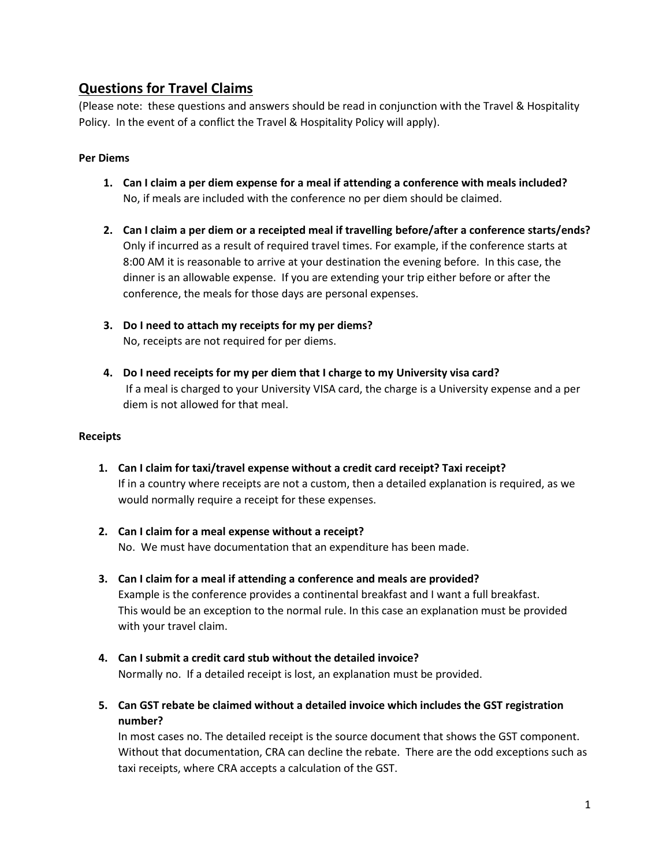# **Questions for Travel Claims**

(Please note: these questions and answers should be read in conjunction with the Travel & Hospitality Policy. In the event of a conflict the Travel & Hospitality Policy will apply).

#### **Per Diems**

- **1. Can I claim a per diem expense for a meal if attending a conference with meals included?** No, if meals are included with the conference no per diem should be claimed.
- **2. Can I claim a per diem or a receipted meal if travelling before/after a conference starts/ends?** Only if incurred as a result of required travel times. For example, if the conference starts at 8:00 AM it is reasonable to arrive at your destination the evening before. In this case, the dinner is an allowable expense. If you are extending your trip either before or after the conference, the meals for those days are personal expenses.
- **3. Do I need to attach my receipts for my per diems?** No, receipts are not required for per diems.
- **4. Do I need receipts for my per diem that I charge to my University visa card?** If a meal is charged to your University VISA card, the charge is a University expense and a per diem is not allowed for that meal.

#### **Receipts**

- **1. Can I claim for taxi/travel expense without a credit card receipt? Taxi receipt?** If in a country where receipts are not a custom, then a detailed explanation is required, as we would normally require a receipt for these expenses.
- **2. Can I claim for a meal expense without a receipt?** No. We must have documentation that an expenditure has been made.
- **3. Can I claim for a meal if attending a conference and meals are provided?**  Example is the conference provides a continental breakfast and I want a full breakfast. This would be an exception to the normal rule. In this case an explanation must be provided with your travel claim.
- **4. Can I submit a credit card stub without the detailed invoice?** Normally no. If a detailed receipt is lost, an explanation must be provided.
- **5. Can GST rebate be claimed without a detailed invoice which includes the GST registration number?**

In most cases no. The detailed receipt is the source document that shows the GST component. Without that documentation, CRA can decline the rebate. There are the odd exceptions such as taxi receipts, where CRA accepts a calculation of the GST.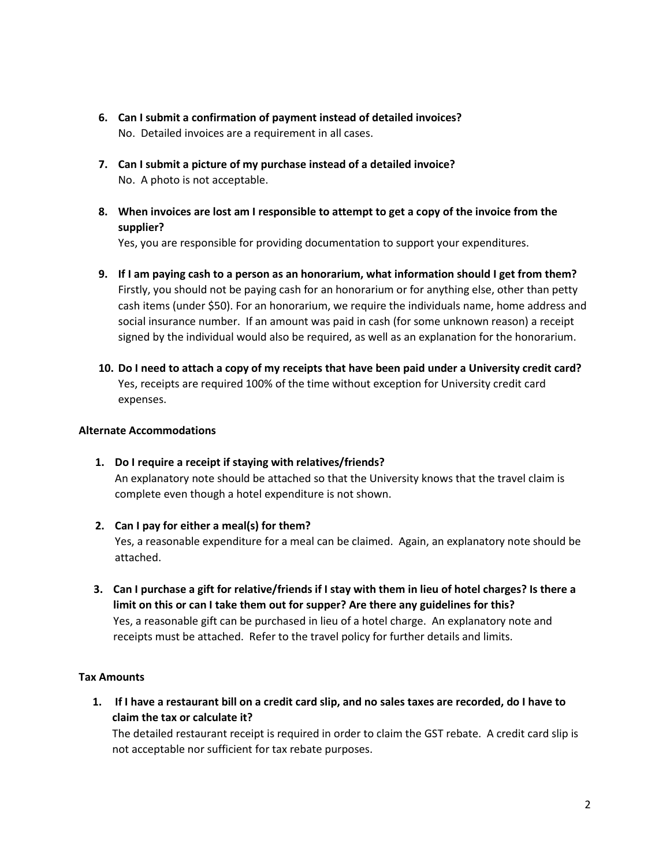- **6. Can I submit a confirmation of payment instead of detailed invoices?** No. Detailed invoices are a requirement in all cases.
- **7. Can I submit a picture of my purchase instead of a detailed invoice?** No. A photo is not acceptable.
- **8. When invoices are lost am I responsible to attempt to get a copy of the invoice from the supplier?**

Yes, you are responsible for providing documentation to support your expenditures.

- **9. If I am paying cash to a person as an honorarium, what information should I get from them?** Firstly, you should not be paying cash for an honorarium or for anything else, other than petty cash items (under \$50). For an honorarium, we require the individuals name, home address and social insurance number. If an amount was paid in cash (for some unknown reason) a receipt signed by the individual would also be required, as well as an explanation for the honorarium.
- **10. Do I need to attach a copy of my receipts that have been paid under a University credit card?** Yes, receipts are required 100% of the time without exception for University credit card expenses.

## **Alternate Accommodations**

- **1. Do I require a receipt if staying with relatives/friends?**  An explanatory note should be attached so that the University knows that the travel claim is complete even though a hotel expenditure is not shown.
- **2. Can I pay for either a meal(s) for them?** Yes, a reasonable expenditure for a meal can be claimed. Again, an explanatory note should be attached.
- **3. Can I purchase a gift for relative/friends if I stay with them in lieu of hotel charges? Is there a limit on this or can I take them out for supper? Are there any guidelines for this?** Yes, a reasonable gift can be purchased in lieu of a hotel charge. An explanatory note and receipts must be attached. Refer to the travel policy for further details and limits.

#### **Tax Amounts**

**1. If I have a restaurant bill on a credit card slip, and no sales taxes are recorded, do I have to claim the tax or calculate it?** 

The detailed restaurant receipt is required in order to claim the GST rebate. A credit card slip is not acceptable nor sufficient for tax rebate purposes.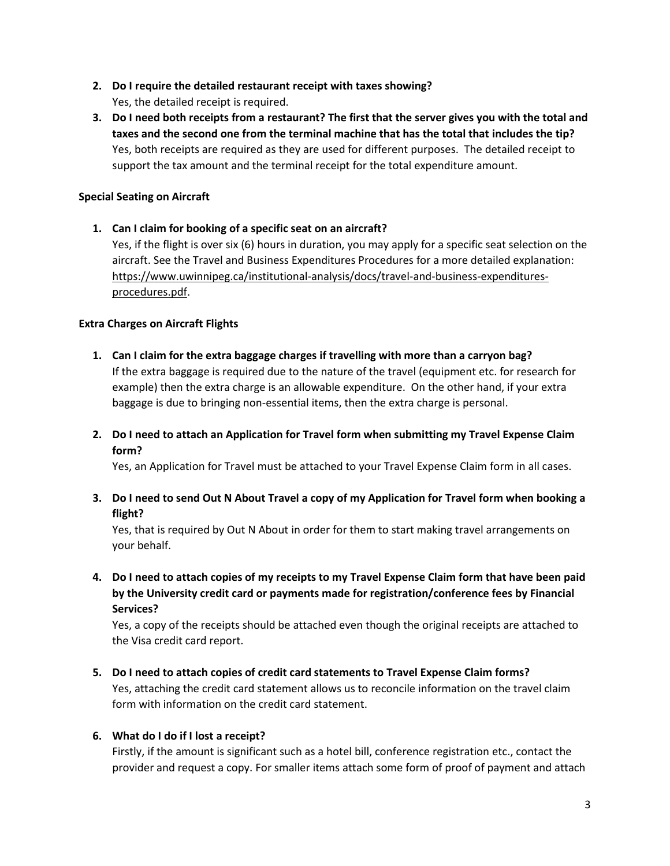- **2. Do I require the detailed restaurant receipt with taxes showing?** Yes, the detailed receipt is required.
- **3. Do I need both receipts from a restaurant? The first that the server gives you with the total and taxes and the second one from the terminal machine that has the total that includes the tip?** Yes, both receipts are required as they are used for different purposes. The detailed receipt to support the tax amount and the terminal receipt for the total expenditure amount.

# **Special Seating on Aircraft**

**1. Can I claim for booking of a specific seat on an aircraft?** Yes, if the flight is over six (6) hours in duration, you may apply for a specific seat selection on the aircraft. See the Travel and Business Expenditures Procedures for a more detailed explanation: [https://www.uwinnipeg.ca/institutional-analysis/docs/travel-and-business-expenditures](https://www.uwinnipeg.ca/institutional-analysis/docs/travel-and-business-expenditures-procedures.pdf)[procedures.pdf.](https://www.uwinnipeg.ca/institutional-analysis/docs/travel-and-business-expenditures-procedures.pdf)

## **Extra Charges on Aircraft Flights**

- **1. Can I claim for the extra baggage charges if travelling with more than a carryon bag?** If the extra baggage is required due to the nature of the travel (equipment etc. for research for example) then the extra charge is an allowable expenditure. On the other hand, if your extra baggage is due to bringing non-essential items, then the extra charge is personal.
- **2. Do I need to attach an Application for Travel form when submitting my Travel Expense Claim form?**

Yes, an Application for Travel must be attached to your Travel Expense Claim form in all cases.

**3. Do I need to send Out N About Travel a copy of my Application for Travel form when booking a flight?**

Yes, that is required by Out N About in order for them to start making travel arrangements on your behalf.

**4. Do I need to attach copies of my receipts to my Travel Expense Claim form that have been paid by the University credit card or payments made for registration/conference fees by Financial Services?**

Yes, a copy of the receipts should be attached even though the original receipts are attached to the Visa credit card report.

**5. Do I need to attach copies of credit card statements to Travel Expense Claim forms?** Yes, attaching the credit card statement allows us to reconcile information on the travel claim form with information on the credit card statement.

#### **6. What do I do if I lost a receipt?**

Firstly, if the amount is significant such as a hotel bill, conference registration etc., contact the provider and request a copy. For smaller items attach some form of proof of payment and attach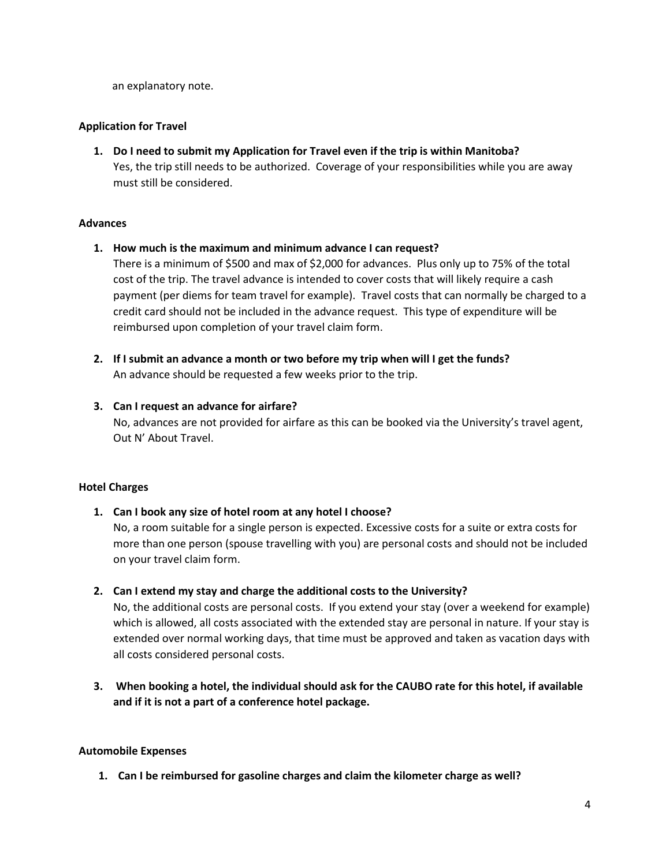an explanatory note.

## **Application for Travel**

**1. Do I need to submit my Application for Travel even if the trip is within Manitoba?** Yes, the trip still needs to be authorized. Coverage of your responsibilities while you are away must still be considered.

#### **Advances**

#### **1. How much is the maximum and minimum advance I can request?**

There is a minimum of \$500 and max of \$2,000 for advances. Plus only up to 75% of the total cost of the trip. The travel advance is intended to cover costs that will likely require a cash payment (per diems for team travel for example). Travel costs that can normally be charged to a credit card should not be included in the advance request. This type of expenditure will be reimbursed upon completion of your travel claim form.

**2. If I submit an advance a month or two before my trip when will I get the funds?** An advance should be requested a few weeks prior to the trip.

## **3. Can I request an advance for airfare?**

No, advances are not provided for airfare as this can be booked via the University's travel agent, Out N' About Travel.

# **Hotel Charges**

**1. Can I book any size of hotel room at any hotel I choose?**

No, a room suitable for a single person is expected. Excessive costs for a suite or extra costs for more than one person (spouse travelling with you) are personal costs and should not be included on your travel claim form.

**2. Can I extend my stay and charge the additional costs to the University?**

No, the additional costs are personal costs. If you extend your stay (over a weekend for example) which is allowed, all costs associated with the extended stay are personal in nature. If your stay is extended over normal working days, that time must be approved and taken as vacation days with all costs considered personal costs.

**3. When booking a hotel, the individual should ask for the CAUBO rate for this hotel, if available and if it is not a part of a conference hotel package.**

# **Automobile Expenses**

**1. Can I be reimbursed for gasoline charges and claim the kilometer charge as well?**